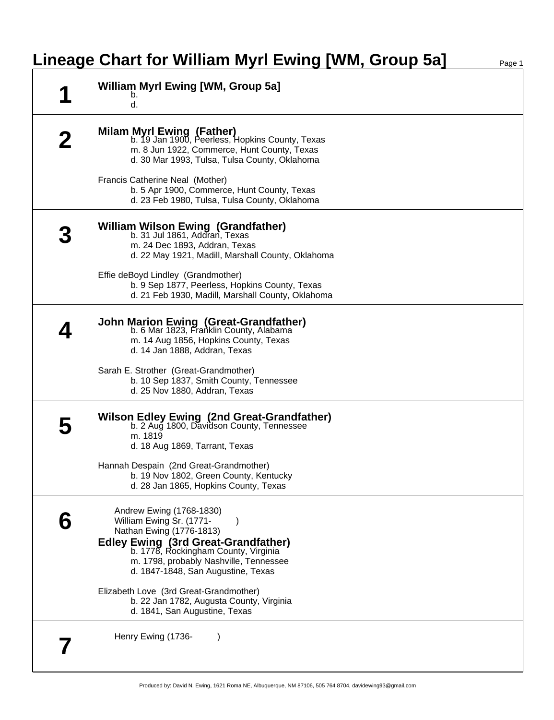## **Lineage Chart for William Myrl Ewing [WM, Group 5a]** Page 1

|  | <b>William Myrl Ewing [WM, Group 5a]</b><br>b.<br>d.                                                                                                                         |
|--|------------------------------------------------------------------------------------------------------------------------------------------------------------------------------|
|  | Milam Myrl Ewing (Father)<br>b. 19 Jan 1900, Peerless, Hopkins County, Texas<br>m. 8 Jun 1922, Commerce, Hunt County, Texas<br>d. 30 Mar 1993, Tulsa, Tulsa County, Oklahoma |
|  | Francis Catherine Neal (Mother)<br>b. 5 Apr 1900, Commerce, Hunt County, Texas<br>d. 23 Feb 1980, Tulsa, Tulsa County, Oklahoma                                              |
|  | William Wilson Ewing (Grandfather)<br>b. 31 Jul 1861, Addran, Texas<br>m. 24 Dec 1893, Addran, Texas<br>d. 22 May 1921, Madill, Marshall County, Oklahoma                    |
|  | Effie deBoyd Lindley (Grandmother)<br>b. 9 Sep 1877, Peerless, Hopkins County, Texas<br>d. 21 Feb 1930, Madill, Marshall County, Oklahoma                                    |
|  | <b>John Marion Ewing (Great-Grandfather)</b><br>b. 6 Mar 1823, Franklin County, Alabama<br>m. 14 Aug 1856, Hopkins County, Texas<br>d. 14 Jan 1888, Addran, Texas            |
|  | Sarah E. Strother (Great-Grandmother)<br>b. 10 Sep 1837, Smith County, Tennessee<br>d. 25 Nov 1880, Addran, Texas                                                            |
|  | <b>Wilson Edley Ewing (2nd Great-Grandfather)</b><br>b. 2 Aug 1800, Davidson County, Tennessee<br>m. 1819<br>d. 18 Aug 1869, Tarrant, Texas                                  |
|  | Hannah Despain (2nd Great-Grandmother)<br>b. 19 Nov 1802, Green County, Kentucky<br>d. 28 Jan 1865, Hopkins County, Texas                                                    |
|  | Andrew Ewing (1768-1830)<br>William Ewing Sr. (1771-<br>Nathan Ewing (1776-1813)                                                                                             |
|  | Edley Ewing (3rd Great-Grandfather)<br>b. 1778, Rockingham County, Virginia<br>m. 1798, probably Nashville, Tennessee<br>d. 1847-1848, San Augustine, Texas                  |
|  | Elizabeth Love (3rd Great-Grandmother)<br>b. 22 Jan 1782, Augusta County, Virginia<br>d. 1841, San Augustine, Texas                                                          |
|  | Henry Ewing (1736-                                                                                                                                                           |